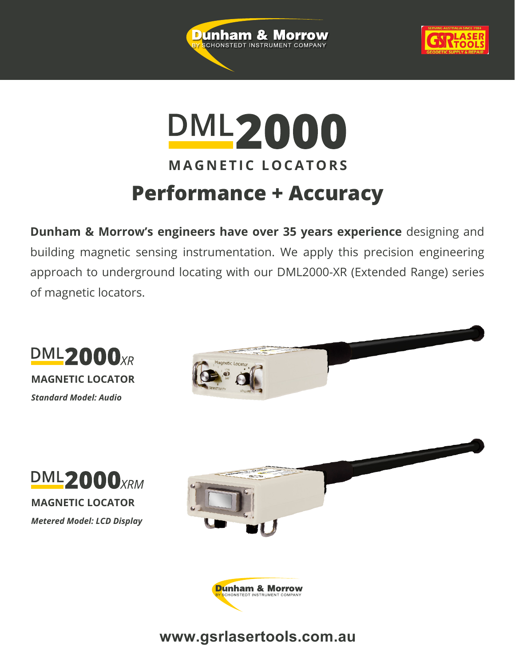



# **DML2000 MAGNETIC LOCATORS Performance + Accuracy**

**Dunham & Morrow's engineers have over 35 years experience** designing and building magnetic sensing instrumentation. We apply this precision engineering approach to underground locating with our DML2000-XR (Extended Range) series of magnetic locators.



### **www.gsrlasertools.com.au**